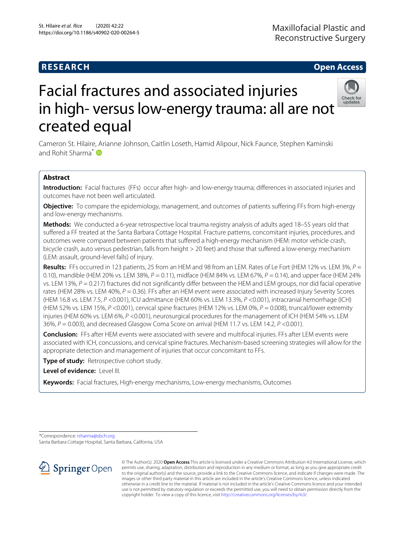# **RESEARCH Open Access**

# Facial fractures and associated injuries Check for<br>updates



Cameron St. Hilaire, Arianne Johnson, Caitlin Loseth, Hamid Alipour, Nick Faunce, Stephen Kaminski and Rohit Sharma<sup>\*</sup>

# **Abstract**

**Introduction:** Facial fractures (FFs) occur after high- and low-energy trauma; differences in associated injuries and outcomes have not been well articulated.

**Objective:** To compare the epidemiology, management, and outcomes of patients suffering FFs from high-energy and low-energy mechanisms.

**Methods:** We conducted a 6-year retrospective local trauma registry analysis of adults aged 18–55 years old that suffered a FF treated at the Santa Barbara Cottage Hospital. Fracture patterns, concomitant injuries, procedures, and outcomes were compared between patients that suffered a high-energy mechanism (HEM: motor vehicle crash, bicycle crash, auto versus pedestrian, falls from height > 20 feet) and those that suffered a low-energy mechanism (LEM: assault, ground-level falls) of injury.

**Results:** FFs occurred in 123 patients, 25 from an HEM and 98 from an LEM. Rates of Le Fort (HEM 12% vs. LEM 3%, P = 0.10), mandible (HEM 20% vs. LEM 38%,  $P = 0.11$ ), midface (HEM 84% vs. LEM 67%,  $P = 0.14$ ), and upper face (HEM 24% vs. LEM 13%,  $P = 0.217$ ) fractures did not significantly differ between the HEM and LEM groups, nor did facial operative rates (HEM 28% vs. LEM 40%,  $P = 0.36$ ). FFs after an HEM event were associated with increased Injury Severity Scores (HEM 16.8 vs. LEM 7.5, P <0.001), ICU admittance (HEM 60% vs. LEM 13.3%, P <0.001), intracranial hemorrhage (ICH) (HEM 52% vs. LEM 15%,  $P < 0.001$ ), cervical spine fractures (HEM 12% vs. LEM 0%,  $P = 0.008$ ), truncal/lower extremity injuries (HEM 60% vs. LEM 6%, P <0.001), neurosurgical procedures for the management of ICH (HEM 54% vs. LEM  $36\%, P = 0.003$ ), and decreased Glasgow Coma Score on arrival (HEM 11.7 vs. LEM 14.2,  $P \le 0.001$ ).

**Conclusion:** FFs after HEM events were associated with severe and multifocal injuries. FFs after LEM events were associated with ICH, concussions, and cervical spine fractures. Mechanism-based screening strategies will allow for the appropriate detection and management of injuries that occur concomitant to FFs.

**Type of study:** Retrospective cohort study.

**Level of evidence:** Level III.

**Keywords:** Facial fractures, High-energy mechanisms, Low-energy mechanisms, Outcomes

\*Correspondence: [rsharma@sbch.org](mailto: rsharma@sbch.org) Santa Barbara Cottage Hospital, Santa Barbara, California, USA



© The Author(s). 2020 **Open Access** This article is licensed under a Creative Commons Attribution 4.0 International License, which permits use, sharing, adaptation, distribution and reproduction in any medium or format, as long as you give appropriate credit to the original author(s) and the source, provide a link to the Creative Commons licence, and indicate if changes were made. The images or other third party material in this article are included in the article's Creative Commons licence, unless indicated otherwise in a credit line to the material. If material is not included in the article's Creative Commons licence and your intended use is not permitted by statutory regulation or exceeds the permitted use, you will need to obtain permission directly from the copyright holder. To view a copy of this licence, visit [http://creativecommons.org/licenses/by/4.0/.](http://creativecommons.org/licenses/by/4.0/)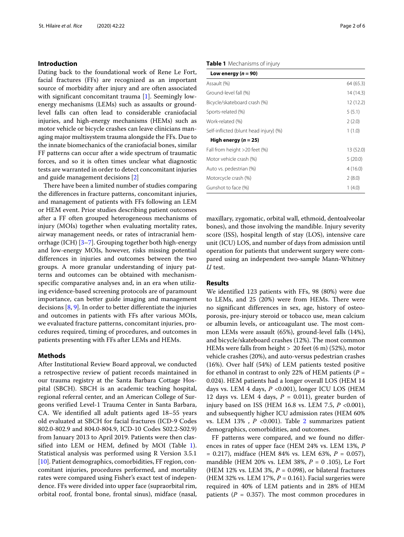#### **Introduction**

Dating back to the foundational work of Rene Le Fort, facial fractures (FFs) are recognized as an important source of morbidity after injury and are often associated with significant concomitant trauma [\[1\]](#page-5-0). Seemingly lowenergy mechanisms (LEMs) such as assaults or groundlevel falls can often lead to considerable craniofacial injuries, and high-energy mechanisms (HEMs) such as motor vehicle or bicycle crashes can leave clinicians managing major multisystem trauma alongside the FFs. Due to the innate biomechanics of the craniofacial bones, similar FF patterns can occur after a wide spectrum of traumatic forces, and so it is often times unclear what diagnostic tests are warranted in order to detect concomitant injuries and guide management decisions [\[2\]](#page-5-1)

There have been a limited number of studies comparing the differences in fracture patterns, concomitant injuries, and management of patients with FFs following an LEM or HEM event. Prior studies describing patient outcomes after a FF often grouped heterogeneous mechanisms of injury (MOIs) together when evaluating mortality rates, airway management needs, or rates of intracranial hemorrhage (ICH) [\[3–](#page-5-2)[7\]](#page-5-3). Grouping together both high-energy and low-energy MOIs, however, risks missing potential differences in injuries and outcomes between the two groups. A more granular understanding of injury patterns and outcomes can be obtained with mechanismspecific comparative analyses and, in an era when utilizing evidence-based screening protocols are of paramount importance, can better guide imaging and management decisions [\[8,](#page-5-4) [9\]](#page-5-5). In order to better differentiate the injuries and outcomes in patients with FFs after various MOIs, we evaluated fracture patterns, concomitant injuries, procedures required, timing of procedures, and outcomes in patients presenting with FFs after LEMs and HEMs.

#### **Methods**

After Institutional Review Board approval, we conducted a retrospective review of patient records maintained in our trauma registry at the Santa Barbara Cottage Hospital (SBCH). SBCH is an academic teaching hospital, regional referral center, and an American College of Surgeons verified Level-1 Trauma Center in Santa Barbara, CA. We identified all adult patients aged 18–55 years old evaluated at SBCH for facial fractures (ICD-9 Codes 802.0-802.9 and 804.0-804.9, ICD-10 Codes S02.2-S02.9) from January 2013 to April 2019. Patients were then classified into LEM or HEM, defined by MOI (Table [1\)](#page-1-0). Statistical analysis was performed using R Version 3.5.1 [\[10\]](#page-5-6). Patient demographics, comorbidities, FF region, concomitant injuries, procedures performed, and mortality rates were compared using Fisher's exact test of independence. FFs were divided into upper face (supraorbital rim, orbital roof, frontal bone, frontal sinus), midface (nasal,

#### <span id="page-1-0"></span>**Table 1** Mechanisms of injury

| Low energy $(n = 90)$                  |           |
|----------------------------------------|-----------|
| Assault (%)                            | 64 (65.3) |
| Ground-level fall (%)                  | 14 (14.3) |
| Bicycle/skateboard crash (%)           | 12(12.2)  |
| Sports-related (%)                     | 5(5.1)    |
| Work-related (%)                       | 2(2.0)    |
| Self-inflicted (blunt head injury) (%) | 1(1.0)    |
| High energy ( $n = 25$ )               |           |
| Fall from height $>20$ feet (%)        | 13 (52.0) |
| Motor vehicle crash (%)                | 5(20.0)   |
| Auto vs. pedestrian (%)                | 4(16.0)   |
| Motorcycle crash (%)                   | 2(8.0)    |
| Gunshot to face (%)                    | 1(4.0)    |

maxillary, zygomatic, orbital wall, ethmoid, dentoalveolar bones), and those involving the mandible. Injury severity score (ISS), hospital length of stay (LOS), intensive care unit (ICU) LOS, and number of days from admission until operation for patients that underwent surgery were compared using an independent two-sample Mann-Whitney *U* test.

### **Results**

We identified 123 patients with FFs, 98 (80%) were due to LEMs, and 25 (20%) were from HEMs. There were no significant differences in sex, age, history of osteoporosis, pre-injury steroid or tobacco use, mean calcium or albumin levels, or anticoagulant use. The most common LEMs were assault (65%), ground-level falls (14%), and bicycle/skateboard crashes (12%). The most common HEMs were falls from height > 20 feet (6 m) (52%), motor vehicle crashes (20%), and auto-versus pedestrian crashes (16%). Over half (54%) of LEM patients tested positive for ethanol in contrast to only 22% of HEM patients (*P* = 0.024). HEM patients had a longer overall LOS (HEM 14 days vs. LEM 4 days,  $P < 0.001$ ), longer ICU LOS (HEM 12 days vs. LEM 4 days,  $P = 0.011$ ), greater burden of injury based on ISS (HEM 16.8 vs. LEM 7.5, *P* <0.001), and subsequently higher ICU admission rates (HEM 60% vs. LEM 13% , *P* <0.001). Table [2](#page-2-0) summarizes patient demographics, comorbidities, and outcomes.

FF patterns were compared, and we found no differences in rates of upper face (HEM 24% vs. LEM 13%, *P* = 0.217), midface (HEM 84% vs. LEM 63%, *P* = 0.057), mandible (HEM 20% vs. LEM 38%, *P* = 0 .105), Le Fort (HEM 12% vs. LEM 3%,  $P = 0.098$ ), or bilateral fractures (HEM 32% vs. LEM 17%, *P* = 0.161). Facial surgeries were required in 40% of LEM patients and in 28% of HEM patients ( $P = 0.357$ ). The most common procedures in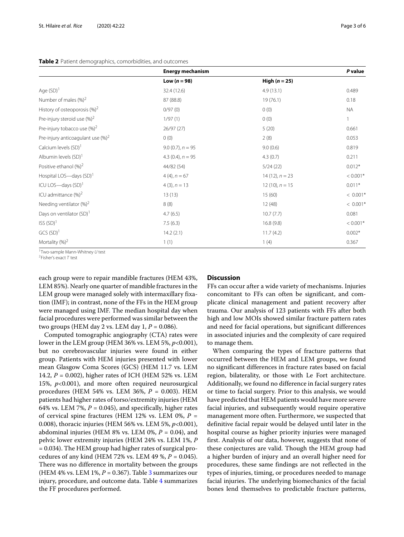#### <span id="page-2-0"></span>**Table 2** Patient demographics, comorbidities, and outcomes

|                                               | <b>Energy mechanism</b> |                     | P value      |
|-----------------------------------------------|-------------------------|---------------------|--------------|
|                                               | Low $(n = 98)$          | High $(n = 25)$     |              |
| Age $(SD)^1$                                  | 32.4 (12.6)             | 4.9(13.1)           | 0.489        |
| Number of males $(%)^2$                       | 87 (88.8)               | 19(76.1)            | 0.18         |
| History of osteoporosis $(\%)^2$              | 0/97(0)                 | 0(0)                | <b>NA</b>    |
| Pre-injury steroid use $(\%)^2$               | 1/97(1)                 | 0(0)                | $\mathbf{1}$ |
| Pre-injury tobacco use $(\%)^2$               | 26/97(27)               | 5(20)               | 0.661        |
| Pre-injury anticoagulant use (%) <sup>2</sup> | 0(0)                    | 2(8)                | 0.053        |
| Calcium levels $(SD)^1$                       | $9.0(0.7)$ , $n = 95$   | 9.0(0.6)            | 0.819        |
| Albumin levels (SD) <sup>1</sup>              | 4.3 $(0.4)$ , $n = 95$  | 4.3(0.7)            | 0.211        |
| Positive ethanol $(\%)^2$                     | 44/82 (54)              | 5/24(22)            | $0.012*$     |
| Hospital LOS-days (SD) <sup>1</sup>           | $4(4), n = 67$          | $14(12)$ , $n = 23$ | $< 0.001*$   |
| ICU LOS-days $(SD)^1$                         | $4(3)$ , $n = 13$       | $12(10)$ , $n = 15$ | $0.011*$     |
| ICU admittance $(\%)^2$                       | 13(13)                  | 15(60)              | $< 0.001*$   |
| Needing ventilator $(\%)^2$                   | 8(8)                    | 12(48)              | $< 0.001*$   |
| Days on ventilator (SD) <sup>1</sup>          | 4.7(6.5)                | 10.7(7.7)           | 0.081        |
| ISS(SD) <sup>1</sup>                          | 7.5(6.3)                | 16.8(9.8)           | $< 0.001*$   |
| $GCS(SD)^1$                                   | 14.2(2.1)               | 11.7(4.2)           | $0.002*$     |
| Mortality $(%)^2$                             | 1(1)                    | 1(4)                | 0.367        |

<sup>1</sup>Two-sample Mann-Whitney U test

 $2$ Fisher's exact  $T$  test

each group were to repair mandible fractures (HEM 43%, LEM 85%). Nearly one quarter of mandible fractures in the LEM group were managed solely with intermaxillary fixation (IMF); in contrast, none of the FFs in the HEM group were managed using IMF. The median hospital day when facial procedures were performed was similar between the two groups (HEM day 2 vs. LEM day 1, *P* = 0.086).

Computed tomographic angiography (CTA) rates were lower in the LEM group (HEM 36% vs. LEM 5%, *p*<0.001), but no cerebrovascular injuries were found in either group. Patients with HEM injuries presented with lower mean Glasgow Coma Scores (GCS) (HEM 11.7 vs. LEM 14.2, *P* = 0.002), higher rates of ICH (HEM 52% vs. LEM 15%, *p*<0.001), and more often required neurosurgical procedures (HEM 54% vs. LEM 36%, *P* = 0.003). HEM patients had higher rates of torso/extremity injuries (HEM 64% vs. LEM 7%,  $P = 0.045$ ), and specifically, higher rates of cervical spine fractures (HEM 12% vs. LEM 0%, *P* = 0.008), thoracic injuries (HEM 56% vs. LEM 5%, *p*<0.001), abdominal injuries (HEM  $8\%$  vs. LEM  $0\%$ ,  $P = 0.04$ ), and pelvic lower extremity injuries (HEM 24% vs. LEM 1%, *P* = 0.034). The HEM group had higher rates of surgical procedures of any kind (HEM 72% vs. LEM 49 %, *P* = 0.045). There was no difference in mortality between the groups (HEM 4% vs. LEM 1%,  $P = 0.367$  $P = 0.367$  $P = 0.367$ ). Table 3 summarizes our injury, procedure, and outcome data. Table [4](#page-3-1) summarizes the FF procedures performed.

#### **Discussion**

FFs can occur after a wide variety of mechanisms. Injuries concomitant to FFs can often be significant, and complicate clinical management and patient recovery after trauma. Our analysis of 123 patients with FFs after both high and low MOIs showed similar fracture pattern rates and need for facial operations, but significant differences in associated injuries and the complexity of care required to manage them.

When comparing the types of fracture patterns that occurred between the HEM and LEM groups, we found no significant differences in fracture rates based on facial region, bilaterality, or those with Le Fort architecture. Additionally, we found no difference in facial surgery rates or time to facial surgery. Prior to this analysis, we would have predicted that HEM patients would have more severe facial injuries, and subsequently would require operative management more often. Furthermore, we suspected that definitive facial repair would be delayed until later in the hospital course as higher priority injuries were managed first. Analysis of our data, however, suggests that none of these conjectures are valid. Though the HEM group had a higher burden of injury and an overall higher need for procedures, these same findings are not reflected in the types of injuries, timing, or procedures needed to manage facial injuries. The underlying biomechanics of the facial bones lend themselves to predictable fracture patterns,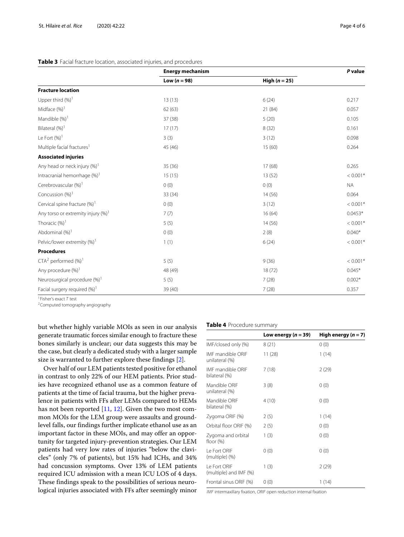<span id="page-3-0"></span>

| Table 3 Facial fracture location, associated injuries, and procedures |  |  |  |  |
|-----------------------------------------------------------------------|--|--|--|--|
|-----------------------------------------------------------------------|--|--|--|--|

|                                          | <b>Energy mechanism</b> |                 | P value    |
|------------------------------------------|-------------------------|-----------------|------------|
|                                          | Low $(n = 98)$          | High $(n = 25)$ |            |
| <b>Fracture location</b>                 |                         |                 |            |
| Upper third $(\%)$ <sup>1</sup>          | 13(13)                  | 6(24)           | 0.217      |
| Midface $(\%)$ <sup>1</sup>              | 62(63)                  | 21 (84)         | 0.057      |
| Mandible (%) <sup>1</sup>                | 37 (38)                 | 5(20)           | 0.105      |
| Bilateral (%) <sup>1</sup>               | 17(17)                  | 8(32)           | 0.161      |
| Le Fort $(%)$ <sup>1</sup>               | 3(3)                    | 3(12)           | 0.098      |
| Multiple facial fractures <sup>1</sup>   | 45 (46)                 | 15(60)          | 0.264      |
| <b>Associated injuries</b>               |                         |                 |            |
| Any head or neck injury (%) <sup>1</sup> | 35 (36)                 | 17(68)          | 0.265      |
| Intracranial hemorrhage (%) <sup>1</sup> | 15(15)                  | 13(52)          | $< 0.001*$ |
| Cerebrovascular (%) <sup>1</sup>         | 0(0)                    | 0(0)            | <b>NA</b>  |
| Concussion $(%)1$                        | 33 (34)                 | 14(56)          | 0.064      |
| Cervical spine fracture (%) <sup>1</sup> | 0(0)                    | 3(12)           | $< 0.001*$ |
| Any torso or extremity injury $(\%)^1$   | 7(7)                    | 16(64)          | $0.0453*$  |
| Thoracic $(%)$ <sup>1</sup>              | 5(5)                    | 14(56)          | $< 0.001*$ |
| Abdominal (%) <sup>1</sup>               | 0(0)                    | 2(8)            | $0.040*$   |
| Pelvic/lower extremity (%) <sup>1</sup>  | 1(1)                    | 6(24)           | $< 0.001*$ |
| <b>Procedures</b>                        |                         |                 |            |
| $CTA2$ performed $(\%)1$                 | 5(5)                    | 9(36)           | $< 0.001*$ |
| Any procedure (%) <sup>1</sup>           | 48 (49)                 | 18(72)          | $0.045*$   |
| Neurosurgical procedure (%) <sup>1</sup> | 5(5)                    | 7(28)           | $0.002*$   |
| Facial surgery required $(\%)^1$         | 39 (40)                 | 7(28)           | 0.357      |

1Fisher's exact T test

2Computed tomography angiography

but whether highly variable MOIs as seen in our analysis generate traumatic forces similar enough to fracture these bones similarly is unclear; our data suggests this may be the case, but clearly a dedicated study with a larger sample size is warranted to further explore these findings [\[2\]](#page-5-1).

Over half of our LEM patients tested positive for ethanol in contrast to only 22% of our HEM patients. Prior studies have recognized ethanol use as a common feature of patients at the time of facial trauma, but the higher prevalence in patients with FFs after LEMs compared to HEMs has not been reported [\[11,](#page-5-7) [12\]](#page-5-8). Given the two most common MOIs for the LEM group were assaults and groundlevel falls, our findings further implicate ethanol use as an important factor in these MOIs, and may offer an opportunity for targeted injury-prevention strategies. Our LEM patients had very low rates of injuries "below the clavicles" (only 7% of patients), but 15% had ICHs, and 34% had concussion symptoms. Over 13% of LEM patients required ICU admission with a mean ICU LOS of 4 days. These findings speak to the possibilities of serious neurological injuries associated with FFs after seemingly minor

#### <span id="page-3-1"></span>**Table 4** Procedure summary

|                                            | Low energy ( $n = 39$ ) | High energy $(n = 7)$ |
|--------------------------------------------|-------------------------|-----------------------|
| IMF/closed only (%)                        | 8(21)                   | 0(0)                  |
| <b>IME</b> mandible ORIE<br>unilateral (%) | 11(28)                  | 1(14)                 |
| <b>IME</b> mandible ORIE<br>bilateral (%)  | 7(18)                   | 2(29)                 |
| Mandible ORIF<br>unilateral (%)            | 3(8)                    | 0(0)                  |
| Mandible ORIF<br>bilateral (%)             | 4(10)                   | 0(0)                  |
| Zygoma ORIF (%)                            | 2(5)                    | 1(14)                 |
| Orbital floor ORIF (%)                     | 2(5)                    | 0(0)                  |
| Zygoma and orbital<br>floor $(\%)$         | 1(3)                    | 0(0)                  |
| Le Fort ORIF<br>(multiple) (%)             | 0(0)                    | 0(0)                  |
| Le Fort ORIF<br>(multiple) and IMF (%)     | 1(3)                    | 2(29)                 |
| Frontal sinus ORIF (%)                     | 0(0)                    | 1(14)                 |

IMF intermaxillary fixation, ORIF open reduction internal fixation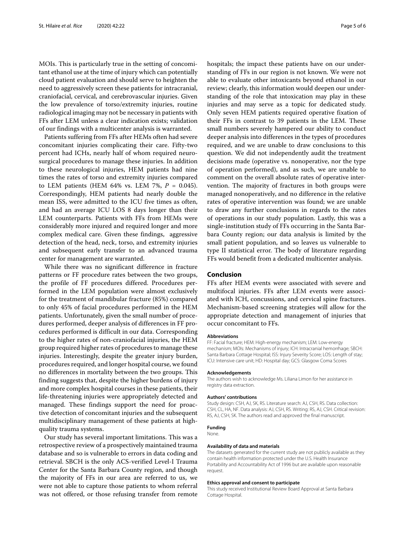MOIs. This is particularly true in the setting of concomitant ethanol use at the time of injury which can potentially cloud patient evaluation and should serve to heighten the need to aggressively screen these patients for intracranial, craniofacial, cervical, and cerebrovascular injuries. Given the low prevalence of torso/extremity injuries, routine radiological imaging may not be necessary in patients with FFs after LEM unless a clear indication exists; validation of our findings with a multicenter analysis is warranted.

Patients suffering from FFs after HEMs often had severe concomitant injuries complicating their care. Fifty-two percent had ICHs, nearly half of whom required neurosurgical procedures to manage these injuries. In addition to these neurological injuries, HEM patients had nine times the rates of torso and extremity injuries compared to LEM patients (HEM 64% vs. LEM 7%, *P* = 0.045). Correspondingly, HEM patients had nearly double the mean ISS, were admitted to the ICU five times as often, and had an average ICU LOS 8 days longer than their LEM counterparts. Patients with FFs from HEMs were considerably more injured and required longer and more complex medical care. Given these findings, aggressive detection of the head, neck, torso, and extremity injuries and subsequent early transfer to an advanced trauma center for management are warranted.

While there was no significant difference in fracture patterns or FF procedure rates between the two groups, the profile of FF procedures differed. Procedures performed in the LEM population were almost exclusively for the treatment of mandibular fracture (85%) compared to only 45% of facial procedures performed in the HEM patients. Unfortunately, given the small number of procedures performed, deeper analysis of differences in FF procedures performed is difficult in our data. Corresponding to the higher rates of non-craniofacial injuries, the HEM group required higher rates of procedures to manage these injuries. Interestingly, despite the greater injury burden, procedures required, and longer hospital course, we found no differences in mortality between the two groups. This finding suggests that, despite the higher burdens of injury and more complex hospital courses in these patients, their life-threatening injuries were appropriately detected and managed. These findings support the need for proactive detection of concomitant injuries and the subsequent multidisciplinary management of these patients at highquality trauma systems.

Our study has several important limitations. This was a retrospective review of a prospectively maintained trauma database and so is vulnerable to errors in data coding and retrieval. SBCH is the only ACS-verified Level-I Trauma Center for the Santa Barbara County region, and though the majority of FFs in our area are referred to us, we were not able to capture those patients to whom referral was not offered, or those refusing transfer from remote

hospitals; the impact these patients have on our understanding of FFs in our region is not known. We were not able to evaluate other intoxicants beyond ethanol in our review; clearly, this information would deepen our understanding of the role that intoxication may play in these injuries and may serve as a topic for dedicated study. Only seven HEM patients required operative fixation of their FFs in contrast to 39 patients in the LEM. These small numbers severely hampered our ability to conduct deeper analysis into differences in the types of procedures required, and we are unable to draw conclusions to this question. We did not independently audit the treatment decisions made (operative vs. nonoperative, nor the type of operation performed), and as such, we are unable to comment on the overall absolute rates of operative intervention. The majority of fractures in both groups were managed nonoperatively, and no difference in the relative rates of operative intervention was found; we are unable to draw any further conclusions in regards to the rates of operations in our study population. Lastly, this was a single-institution study of FFs occurring in the Santa Barbara County region; our data analysis is limited by the small patient population, and so leaves us vulnerable to type II statistical error. The body of literature regarding FFs would benefit from a dedicated multicenter analysis.

#### **Conclusion**

FFs after HEM events were associated with severe and multifocal injuries. FFs after LEM events were associated with ICH, concussions, and cervical spine fractures. Mechanism-based screening strategies will allow for the appropriate detection and management of injuries that occur concomitant to FFs.

#### **Abbreviations**

FF: Facial fracture; HEM: High-energy mechanism; LEM: Low-energy mechanism; MOIs: Mechanisms of injury; ICH: Intracranial hemorrhage; SBCH: Santa Barbara Cottage Hospital; ISS: Injury Severity Score; LOS: Length of stay; ICU: Intensive care unit; HD: Hospital day; GCS: Glasgow Coma Scores

#### **Acknowledgements**

The authors wish to acknowledge Ms. Liliana Limon for her assistance in registry data extraction.

#### **Authors' contributions**

Study design: CSH, AJ, SK, RS. Literature search: AJ, CSH, RS. Data collection: CSH, CL, HA, NF. Data analysis: AJ, CSH, RS. Writing: RS, AJ, CSH. Critical revision: RS, AJ, CSH, SK. The authors read and approved the final manuscript.

#### **Funding**

#### None.

#### **Availability of data and materials**

The datasets generated for the current study are not publicly available as they contain health information protected under the U.S. Health Insurance Portability and Accountability Act of 1996 but are available upon reasonable request.

#### **Ethics approval and consent to participate**

This study received Institutional Review Board Approval at Santa Barbara Cottage Hospital.